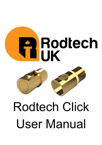



# Rodtech Click User Manual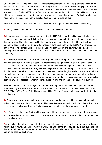Our Rodtech Click Range come with a 12 month replacement guarantee. The guarantee covers all Nonwearable parts and joints on our Rodtech click range. It does NOT cover misuse of equipment or when the equipment is used with the tile breakers It does not cover parts that will wear with use, such as head inserts (Nylons, Chain and Wire etc) You must read the manual for guidance. In the unlikely event you will ever need to use this guarantee, you will be required to return the product to Rodtech or a Rodtech Agent before a replacement part is supplied (subject to our misuse policy).

**PLEASE NOTE:** The simpatico range is not covered by this quarantee and has its own warranty.

1. Always follow manufacturer's instructions when using powered equipment.

2. Liner Manufactures and Insurers approve RODTECH POWER SWEEPING equipment (please see our website for more details). This includes the replacement nylons for the heads, in order to safeguard their warranties. The nylons used by Rodtech are hexagonal and allow the flat sides of the strands to scrape the deposits off within a flue. Other shaped nylons have been tested but DO NOT produce the same effect. The Rodtech Click Rods can be used for both manual and power sweeping and duct cleaning. All new click rod equipment comes with a 1 year warrantee (excluding when used with the tile removers).

**3.** Only use professional drills for power sweeping that have a safety clutch that will stop the drill immediately when the trigger is released. We recommend using a minimum of 18V Cordless drills that have at least a 3ah battery, and above 70Nm of torque; these can be angle or conventional drills however we do not recommend using drills with a speed greater than 1800rpm or less than 400rpm. We find these are preferable to mains versions as they do not involve dangling leads. It is advisable to have two batteries along with a spare drill and drill adaptor. We recommend that the spare drill is minimum 24v or preferred 36v for the 18mm rods when sweeping larger flues, removing bird nests, removing clay liners or any other application where you may put strain onto the drill and could cause it to burn out.

Recommended drills are; 18V angled or standard drills together with a 24v+ drill of personal choice. Alternatively, you will be able to use just one drill unit as recommended on our site, being the Hitachi DV18 DSDL 18 Volt Combi Drill, this particular drill has 92 NM of torque and should handle the toughest of chimneys.

4. When using power sweeping to clean chimneys it is important not to put too much of a bend on the rods as they can distort, heat up and break. Also never keep the rods spinning in the chimney if you are not moving the rods up or down as friction can cause the rods to heat up and possibly break.

5. In Extreme cold weather (-30c and below overnight temperatures) we do advise you store your tools and batteries in the warm as in cold conditions batteries can lose their charge and the rods can become brittle and could snap.

**6.** Always hold the drill in a manner that, if the head gets snagged on something in the chimney the drill will pull out of your hand and not twist your wrist. The angle of the drill should be such that the handle of the drill should be upright opposed to the way you would normally use a drill, trying to keep the rods as straight as possible at all times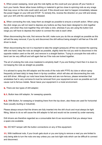7. When power sweeping, never grip the rods tightly as this could pull your gloves off your hands or burn your hands. Never allow loose clothing or material to get too close to spinning rods as any snags that may occur on the rods could catch and pull. If this should ever start to happen immediately release the power trigger on your drill and STOP. To remedy this, reverse the direction on your drill and slowly spin your drill until the catch/snag is released.

8. When connecting the rods, keep them as straight as possible to ensure a smooth action. When using the click range you will not need to depress any buttons as they have been designed to click together easily, and when they lock together they will make a click, whereas if you are using the button lock range you will have to depress the button to connect the rods to each other.

When disconnecting the rods, first remove the drill, make sure you do this as straight as possible as this will aid the easy removal, if you try and disconnect the drill without being straight it will feel as if the drill driver is stuck.

When disconnecting the rod it is important to take the weight (pressure) off the rod nearest the opening with one hand, keep the rods as straight as possible, slightly twist the rod you wish to disconnect in the opposite rotation used on the drill, and remove in a straight fashion. Trying to uncouple the rods with a bend can be very difficult and will again feel as if the rods are locked together.

The art of undoing the rods once mastered is simplicity itself. If you are finding it hard then it is down to not keeping the rods as straight as possible.

It is advised to spray the drill adaptor and the ends of the rods with PTFE dry lube or silicon spray frequently (at least daily) to keep them in tip-top condition, which will also aid disconnecting the rods and drill driver. Although our rods have brass ferrules and are non-ferrous, please remember that smokeless fuel is very corrosive & must be removed from your equipment as soon as possible as it will cause rust to ferrous metals. Never leave your equipment in a moist environment.

**9.** There are two types of drill adaptor;

**9.1.** Button less drill adaptor, for sweeping upwards.

9.2. With Button, for sweeping or breaking liners from the top down, also these are used for horizontal flues (usually ducting or industrial).

Please always ensure that the drivers are fully inserted into the drill chuck and must always be tight fitting, failure to do so will cause the drill adaptor to fail and would not be covered by under warranty.

Drill drivers are therefore regarded as a consumable item & we recommend that you always have a spare one available.

**10.** DO NOT tamper with the button connections on any of this equipment.

**11.** With traditional rods, if your brush gets stuck or you are trying to remove a nest you are limited to only being able to turn the rods one way unless you use lock tight rods which can be difficult to connect and disconnect.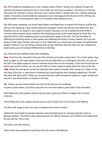12. With traditional sweeping your brush creates surface friction / tension as it passes through the chimney sometimes causing the flue to move while you are trying to sweep it. Any build up in the flue will cause the chimney to narrow and even more surface friction / tension will occur, making sweeping harder. It has been proved traditional sweeping is more damaging to the structure of the chimney (as demonstrated in our educational video on our website www.rodtechuk.com).

13. With power sweeping, the brush head utilizes centrifugal force to expand the brush to suit the flue size you are sweeping, it also centres itself and navigates corners and bends more effectively, and therefore you do not require a vast range of brushes. Because it is not a traditional brush there is minimal surface tension being created in the sweeping process as the head adjusts to fit the flue. You adjust the force of the sweeping action by increasing the speed of the drill. This has the effect of stiffening the brushing action on fast speeds and softening the brush on slower speeds. So if you are doing an older style chimney with loose or worn sides then you would use a low speed (1st gear/lowest speed), however if you are doing a heavily built up clay/ stainless steel flue then you can increase the speed giving you an increased effectiveness at cleaning.

#### **14.** There are two methods used when sweeping;

**14a.** Push the rods manually to the top of the chimney and power sweep down. On a lower speed, then back up again on the lower speed. Once you are sure that there is no damage to the liner, you can put the drill to the higher speed to remove creosote should there be the necessity. If the rods should ever be hard to get around a bend, you can use the drill on a lower speed to gently guide the rods up the flue. 14b. Power the rods gently up the flue using the lower speed (1st gear) when going up or down on the first pass of the flue, in case there is anything that could snag the head (nesting material etc) This will also help with dust control. When you are sure the flue is safe increase the speed up a gear, should you require it, and where there is creosote in the liner.

**15.** Always use the correct heads and rods for the flue you are sweeping;

A guide is given below, but further instruction on rods and heads is given later in this document;

8mm Rods (mini click system) should only be used in gas and oil flues no bigger than 5 inches (125mm).

10mm Rods (mini click system) should only be used in flues from 4 to 6 inches (100-150mm).

The Mini click range of rods only have 3 brushes that connect to them;

100mm Bio Duct bullet (a stainless stainless steel stranded brush for cleaning induction tubes in Biomass boilers). The 300mm Duct cleaning brush (2x 300mm strands), and a 450mm twin bullet brush for use with the 10mm rods.

The Click Lock rods come in;

12mm which are excellent for lined flues of 6 to 8 inches (150-200mm)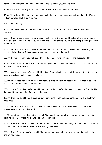15mm which are for lined and unlined flues of 8 to 18 inches (200mm- 450mm)

18mm which are for flues greater than 18 inches with or without bends (450mm+)

18mm Aluminium, which must be used on straight flues only, and must be used with the solid 18mm rods in-between each aluminium rod.

The heads come in;

100mm bio bullet head (for use with the 8mm or 10mm rods) is used for biomass tubes and duct cleaning

200mm Nest Punch, is exactly what is suggests. It is a hard-wired head that tears the most stubborn twigs and debris out of a flue. If you are using this product ensure you have your torque setting on lower than normal.

250mm button lock bullet tool less (for use with the 12mm and 15mm rods) is used for cleaning soot and dust in lined flues. This does not require tools to re-strand the head

300mm Power brush (for use with the 12mm rods) is used for cleaning soot and dust in lined flues.

300mm SuperScrub (for use with the 12mm rods) is used to remove tar in all lined flues and bird nests in stainless steel lined flues.

300mm Chain tar remover (for use with 12, 15 or 18mm rods) this has multiple uses, but must never be used in stainless steel or Furan Flex flues!

300mm bullet head (for use with the 12mm rods) is used for cleaning soot and dust in lined flues. This does not require tools to re-strand the head

300mm SuperScrub deluxe (for use with the 12mm rods) is perfect for removing heavy tar from flexible liners and to remove debris from inside the cowls

450mm twin duct bullet head is used for getting into small openings and removing soot and dust from lined flues.

550mm button lock bullet tool less) is used for cleaning soot and dust in lined flues. This does not require tools to re-strand the head

600/300mm SuperScrub deluxe (for use with 12mm or 15mm rods) this is perfect for removing debris from inside cowls, whilst still cleaning open unlined flues.

600mm Power brush (for use with 12mm or 15mm rods) is used for cleaning soot and dust from lined or unlined flues, and is less abrasive on loose lining (pargetting).

600mm SuperScrub brush (for use with 15mm rods) can be used to remove tar and bird nests in lined and unlined flues.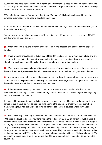600mm mid rod head (for use with 12mm 15mm and 18mm rods) is used for cleaning horizontal shafts and can help the removal of bird's nests, and if put behind a SuperScrub deluxe adds 12 more cleaning strands to the 24 on the deluxe SuperScrub.

600mm Bird nest remover (for use with the 15 and 18mm rods) this head can be used for multiple purposes but must never be used in stainless steel flues!

900mm SuperScrub brush (for use with 15mm and both 18mm rods) is used for flues and ducts greater than 18 inches (450mm).

Camera holder this attaches the camera to 12mm 15mm and 18mm rods to cctv a chimney. NEVER use this when spinning the rods.

**16.** When sweeping a square/rectangular flue ascend in one direction and descend in the opposite direction.

17. There are different coloured rods (white and black) this is to allow you to mark the first rod and any change in size within the flue so that you can adjust the speed and direction giving you a visual aid when the brush head is about to exit or there is a structural change within the flue.

**18.** When power sweeping in larger chimneys the action of sweeping clockwise pulls the brush head to the right. Likewise if you reverse the drill direction (anti-clockwise) the head will gravitate to the left.

19. In short power sweeping cleans chimneys more effectively while causing less strain on the structure of the flue, and also speeds up the sweeping process while making lighter work for you. It also reduces the need to have a van full of occasionally used brushes.

20. Although power sweeping has been proven to increase the amount of deposits that can be removed from a chimney, it is worth remembering that with this method of sweeping (as with anything new), the sweep has to adapt to it.

It is unusual to break or damage rods in the learning process with our Rodtech solid rods, provided you adhere to this manual as well as using and maintaining the equipment properly, should there be a manufacturing fault with the Click Rod joints or ferrules etc, they are covered under our 1 year guarantee.

21. When sweeping a chimney if you come to a point where the head stops, due to an obstruction, DO NOT force the brush to keep going. Simply bring the rods down 30 to 60 cm (a foot or two) change the direction of the head from clockwise to anti clockwise or vice-versa (making sure your drill is in 1st gear) and try again. This will allow the head to be re-positioned within the flue and then you should be able to carry on sweeping easily. Should this not work, there is a high likelihood that there is a nest or integral damage to the flue. You as the operative will have to make this judgment call and using the appropriate equipment (camera to CCTV, or Birds nest remover should there be evidence of twigs and debris? We stock both of these items should you require them) to solve the problem. Remember do not force the equipment.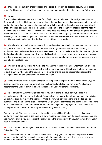22. Please ensure that any shallow slopes are cleared thoroughly as deposits accumulate in these areas. Additional passes of the heads may be required to ensure the deposits have been fully removed.

## 23. Cowls;

Some cowls can be very sharp, and the effect of spinning the rod against these objects can cut a rod. To sweep these flues it is important to try not to exit the cowl as this could damage your rod, so from the start of the job, judge the height, when you get towards the top of the flue, stop spinning the drill and check if you can see the head. If the head is not visible push the rod until you feel or hear the head hit the inside top of the cowl (now visually check). If the head has exited the hat, please judge the distance the head is out and pull the rods back into the flue manually (check again). Now the head is at the top of the flue (not out of the cowl), you can continue to power sweep downwards safely. These can be tricky, and it is your job to make sure that the flue is clear of burning by products.

24. It is advisable to check your equipment. It is good practice to maintain your van and equipment on a daily basis & have a set time at the end of each week for general maintenance and cleaning of equipment used. Make sure there are no stress marks in your rods. Make sure that the nuts are tight on the heads and that the strands are fit for use. Drills & batteries etc are clean. In short your appearance and that of your equipment and vehicle are what makes you stand apart from your competition and is a sign of a true professional.

25. This could be a new sweeping method to you and the feeling you gained with traditional sweeping will not be the same as power sweeping. It is only experience that will teach you the best way to adapt to each situation. After using the equipment for a period of time (just as traditional sweeping) the feelings of what the equipment is doing will come to you.

**26.** There are many different heads designed for the power sweeping method, which cover; Oil, gas, ducting, chimney sweeping, tar removal, bird nest removal and clay liner removal. We also have adaptors for the Click rods which enable the rods to be used for other applications.

27. To re-strand the 300mm (12") Bullet head, you must locate the grub screw, housed in the connection area at the bottom of the head. Remove this grub screw (5mm hex) to release the existing Co-polymer strands, remove the strands. Thread the new Co-polymer strand into the top hole as illustrated, and then bend the strand, so that the Co-polymer is centralised and allows the second strand to be pushed into the lower hole easily. Repeat the bending of the Co-polymer to locate it centrally, some people find it easier to use a tape measure for greater accuracy.

Remember that if the strands are not centralised the head will be off balance and could cause a juddering motion, the head is designed to allow a moderate deviation from the exact centre, so you can use your eye should you feel confident. Finally tighten the grub screw with an Allen key and your Bullet head is now ready to use.

28. To re-strand the 450mm (18") Twin Bullet head please follow the same instructions as the 300mm Bullet (Item 27).

29. To Re-strand the 250mm or 550mm Bullet Head, simply get a pair of grips and pull the existing stranding straight out. To replace the strands, fold the length of strand in half and grip as to form a crease in the centre of the strand and use the grips to help you do this.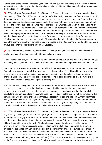Put the ends of the strands (horizontally) in each hole and pull until the strand is fully locked in. Do the same on the opposing side so that the strands are balanced. Repeat this process for all six strands and the head is now re-stranded.

30. 300mm Power Sweeping Brush. This 300mm (12") head is designed to allow you to do the day-today cleaning of flues from 150mm to 200mm (6" to 8"). The design has a unique feature in that it can fit through a narrow gap such as bolted in throat-plates and dampers, which have been fitted in stoves and flues sometimes without sweeping access points. It also can fit through most firebox openings without the need to remove the plate. The whip heads contain co-polymer strands, which aid the sweeping of chimneys cleanly. The strands are six sided strands, which generate flat sides to enhance the cleaning process. As the heads can turn clockwise and anti-clockwise they are able to cover small chimneys with ease. The co-polymer strands are very simple to replace (see separate illustrations on how to re-strand later in this document), so the tool can be used for years to come which makes them far more cost effective than the tradition brush equivalents. The speed of the drill determines the force generated to clean the chimney. It is always advised to use low speeds in pre 1966 chimneys (rendered flues), and to always use battery power tools to safe guard yourself.

31. To re-strand the 300mm or 600mm Power Sweeping Brush you will need a 13mm spanner or ratchet and a small bottle of Loctite 243 thread locker or similar.

Firstly unscrew ball end, this will be tight as it has thread locking glue on it to hold it in place. Should you find it very difficult, wrap the ball in a small amount of cloth and use mole grips or vice to turn this off.

Use your 13mm spanner to remove the nut and it will then separate into 5 component parts. Using your Rodtech replacement strands follow the steps as illustrated below. You will need to gently hold both ends of the strands together to give you an approx. midpoint, and then place in the appropriate channels as shown. The groves on the central cylinder have been designed so that they will grip the replacement strands in place, making this a simple process.

The cylinder now holding the strands can be placed on the ferrule spindle. Remember that the cylinder can only go one way round as the pins have to locate. Making sure that the pins have slotted in correctly, now replace the nut, and tighten with your spanner. If you do not feel that the strands look equidistant, you can use a tape measure to check, prior to totally tightening the nut. You must now drip some Loctite 243 or equivalent onto the thread, and locate your ball end back on. Without this thread lock your ball end could fall off. If you are replacing the stainless steel strands of the bird nest remover or nest punch follow the same procedure as described above. If you are replacing the chain, then the chain has to be located at the end of the chain and not in a central position.

**32.** 600mm Power Sweeping Brush. This 600mm (24") head is designed to allow you to do the day-today cleaning of flues greater than 200mm (8" & greater). The design has a unique feature in that it can fit through a narrow gap such as bolted in throat-plates and dampers, which have been fitted in stoves and flues sometimes without sweeping access points. It also can fit through most firebox openings without the need to remove the plate. The heads contain nylon strands, which aid the sweeping of chimneys cleanly. They are six sided strands, which generate flat sides to enhance the cleaning process. As the heads can turn clockwise and anti-clockwise they are able to sweep small chimney flues with ease. The nylon strands are very simple to replace (see section 30 on how to re-strand), so the tool can be used for years to come which makes them far more cost effective then the tradition brush equivalents. In Flues greater than 450mm (18") you must ensure that you use one direction going up the flue and the reverse on its decent (clockwise/anticlockwise) you may also have to repeat this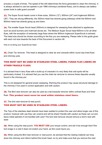process a couple of times. The speed of the drill determines the force generated to clean the chimney. It is always advised to use low speeds in pre 1966 chimneys (rendered flues), and to always use battery power tools to safe guard yourself.

33. The Super Scrub heads come in three sizes, 300mm (12"), 600mm (24") and Inglenook 900mm (36"). They are strung differently; the 300mm head has strands going sideways while the 600mm and 900mm head has strands going up and down.

34. The smaller Super Scrub head (300mm) is designed for sweeping flues attached to appliances such as wood burners and multi-fuel stoves etc. The Medium Super Scrub head 600mm is for all other flues, with the exception of extremely large flues where the 900mm Inglenook SuperScrub is advised. The head size should be chosen according to the flue you are sweeping. Please refer to the guide given with each rod size towards the back of this Document in section 46.

How to re-string your SuperScrub head

**35.** Chain Tar remover. This head is designed to clear tar and creosote within round clay lined flues and chimney pots.

# THIS MUST NOT BE USED IN STAINLESS STEEL LINERS, FURAN FLEX LINERS OR OTHER FRAGILE FLUES.

It is advised that in tarry flues with a build-up of creosote it is very likely that cold spots will be particularly choked. It is advised that you use the chain tar remover to remove these deposits usually found in the chimney pot.

This is not designed for general power sweeping, Warning this product may cause structural damage to the chimney if not used in correct application and with caution.

36. The Bird nest remover can also be used as a tar/creosote remover within unlined flues and lined

flues. This product must never be used within stainless steel liners.

**37.** The bird nest remover & nest punch.

## THIS MUST NOT BE USED IN STAINLESS STEEL LINERS.

The Tips of the stainless steel strands have been welded to protect the user and allow longer use of this product, however with use they can unwind and will be sharp! Handle with caution as these can cut and leave metal splinters if not handled with care! The bird nest remover should remove a bird's nest with ease

38. When using the nest punch, **YOU MUST USE** your torque control, and set it low enough that if the tool snags in a nest it does not snatch your hand, as this could injure you.

39. When using the Bird nest remover or nest punch, be advised that the nesting material can drop down the chimney and reform behind the brush head, so try and make sure that you remove the nest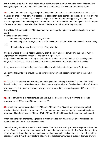slowly making sure that the nest debris clears all the way down before removing more. With the Click Rod system you can purchase additional mid-rod heads to aid in the smooth removal of a nest.

40. All birds their nests and eggs are protected by law: The Wildlife & Countryside Act of 1981. This makes it an offence, with certain exceptions, to deliberately take, damage or destroy the nest of any wild bird while it is in use or being built. It is also illegal to take or destroy the egg of any wild bird. The maximum penalty that can be imposed for an offence under the Wildlife and Countryside Act - in respect of a single bird, nest or egg - is a fine of up to £5,000, and/or six months' imprisonment.

The Wildlife & Countryside Act 1981 is one of the most important pieces of Wildlife legislation in this country.

It states it is an offence to:

- Intentionally kill, injure or take any wild bird
- Intentionally take, damage or destroy the nest of any wild bird while that nest is in use or being
- built
- Intentionally take or destroy an egg of any wild bird.

If you are unsure there is a nesting Jackdaw, then the best advice is to wait until the end of August - September. The breeding season for Jackdaw's is April - July.

They only have one brood so if they lay early in April incubation takes 20 days. The nestlings then fledge at 32 - 33 days, so the first weeks of June would be when you would see the Juveniles.

If they were late breeders in July then the nestlings would fledge late August early September.

Due to this fact Bird nests should only be removed between Mid-September through to the end of March.

41. You can kill some wild birds during the nesting season, but only those listed on the WML-GL05, these include; crows, collared doves, jackdaws, jays, magpies, pigeons (feral and woodpigeon) & rooks

You must be able to prove the reason why you have removed the nest and eggs etc (I.E. a health and safety reason).

42. To re-strand the bird nest remover and nest punch, please see how to re-strand the Power sweeping brush 300mm and 600mm in section 31.

43. Small clay liner removing tool. This 100mm x 100mm (4" x 4") small clay liner removing tool attaches ideally to the 1M x 18mm rods. This product removes the clay liner by breaking it to pieces. Ideal size of flue for removal is 150mm (6") to 200mm (8"). Must be used with care and dust control.

When using the clay liner removing tools it is recommended that you use a 24 or 36v cordless drill together with the 18mm Liner Breaking Rods.

Due to the weight and the speed in which the clay liner tools are used, you must always slow down the speed of your drill when stopping, thus avoiding snapping rods unnecessarily. The forward momentum of the weight on the end of the rods can be so great as to snap the rods or even pull the drill out of the operators' hand. It may be advisable to allow for a rod replacement within a quote of this type of work.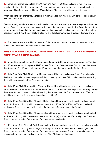44. Large clay liner removing tool. This 100mm x 150mm (4" x 6") Large clay liner removing tool attaches ideally to the 1M x 18mm rods. This product removes the clay liner by breaking it to pieces. Ideal size of flue for removal is 200mm (8") and above. Must be used with care and dust control.

When using the clay liner removing tools it is recommended that you use a 36v cordless drill together with the 18mm rods.

Due to the weight and the speed in which the clay liner tools are used, you must always slow down the speed of your drill when stopping, thus avoiding snapping rods unnecessarily. The forward momentum of the weight on the end of the rods can be so great as to snap the rods or even pull the drill out of the operators' hand. It may be advisable to allow for a rod replacement within a quote of this type of work.

45. The retrieval tool is to aid in the removal of bird nests and can also be used to retrieve rods and brushes that customers may have lost in chimneys.

# THIS ATTACHMENT MUST NOT BE USED WITH A DRILL AS IT CAN SNAG INSIDE A CHIMNEY AND CAUSE DAMAGE.

46. In the Click range there are 6 different sizes of rods available for rotary power sweeping. The 8mm and 10mm are a mini click system. 12-18mm are Click Lock. You can use an 8mm rod as a leader on the 10mm rod. The 12mm as a leader for 15mm rods, and 15mm as a leader for the 18mm.

47. 1M x 8mm Solid Mini Click lock rod for use in gas/oil/lint and small ducted flues. This extremely flexible and versatile rod enables you to efficiently clean up to 125mm/5 inch oil/gas and other ducting flues with the appropriate Mini Click attachments.

48. 1M x 10mm Mini Click Lock Rod. These highly flexible and hard wearing solid section rods are ideally suited to the same applications as the 8mm Mini Click rods but offer slightly more rigidity making them ideal for use in biomass boiler tubes using the 100mm steel Bio Duct cleaning brush. The rods should not be used in flues greater than 6 inches (150mm).

49. 1M x 12mm Solid Click Rod. These highly flexible and hard wearing solid section rods are ideally suited for flues and ducting within a range of sizes from 150mm (6") to 200mm (8"), such as lined appliances. They can be used with a verity of attachments for power sweeping/cleaning.

50. 1M x 15mm Solid Click Rod. These flexible and hard wearing solid section rods are ideally suited for flues and ducting within a range of sizes from 150mm (6") to 450mm (18"), usually open fire flues. They come with a verity of attachments for power sweeping/cleaning.

51.1M x 18mm Solid Click lock Rod. These minimal flex and hard wearing solid section rods are ideally suited for flues and ducting with a range of sizes upwards of 450mm (18 inches) mainly inglenooks. They come with a verity of attachments for power sweeping/ cleaning. These rods are also used for breaking old or damaged clay liners by the use of the Tile breaker attachments.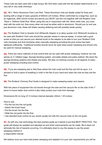These rods are best used with a high torque 36v Drill when used with the tile breaker attachments or in very tall or very wide chimneys.

52. 1M x 18mm Aluminium Click Lock Rod. These Aluminium rods are ideally suited for flues and ducting with a range of sizes upwards of 600mm (24 inches). When confronted by a large flue, such as an inglenook, (600 mm/24 inches and above) you MUST use this rod together with the Rodtech Click 18mm x 1000mm Solid Rod. When using this rod in conjunction with the 18mm solid rods, you must start with the solid rod, then every other rod must be either solid or aluminium. Should you try and use just aluminium rods, these will shake causing skittering and will possibly break quickly.

**53.** The Rodtech Click to Quarter Inch Whitworth Adaptor is to allow quarter inch Whitworth brushes to be used with Rodtech Click rods should the operator desire to manual sweep. It comes with a grub screw so that you can secure your desired brush to the adaptor to be able to turn your Rodtech Click rods clockwise and Anti-clockwise when manually sweeping providing the grub screw has been tightened sufficiently. Traditional brushes should never be used when power sweeping and should only be used for manual sweeping.

54. There are many methods of dust control that can be used with power sweeping, however we only advise on 3; Inflation bags, Sponge blocking system, and lastly sheets and poles method. We stock the sponge blocking systems and sheets and poles. We also run training courses on all aspects of rotary power sweeping including dust control.

55. If you are sweeping wet or dirty flues where the rods could exit the flue and dirt be spun, it is advised to hold a piece of towelling or cloth in the flat of your hand and clean the rods as they exit the flue.

**56.** The Rodtech Chimney Rod Guide is designed to make sweeping easier and cleaner.

With this piece of equipment the rod travels through the tube and the vacuum fits on the side of the T piece to insure better dust control it also helps protect your rods from damage.

Dimensions 80 cm long (31.5 inches) internal diameter (30mm 1.25 inches)

How to use:

- Put the rod into the rod guide.
- Attach the brush head.
- Put the brush into the flue.
- Slide the rod guide into the flue.
- Use standard dust control as you would usually but with the vacuum tube on the rod guide.

57. As with any new technology the best practice guide as it stands is just that BEST PRACTICE. The guide will always be updated and adjusted as and when improvements can be made. But it does not eliminate the risk of hazards occurring. It is ultimately down to you the sweep to use the power sweeping method in

a responsible manner.

We believe once you have tried power sweeping and adapted it to your own requirements you will be